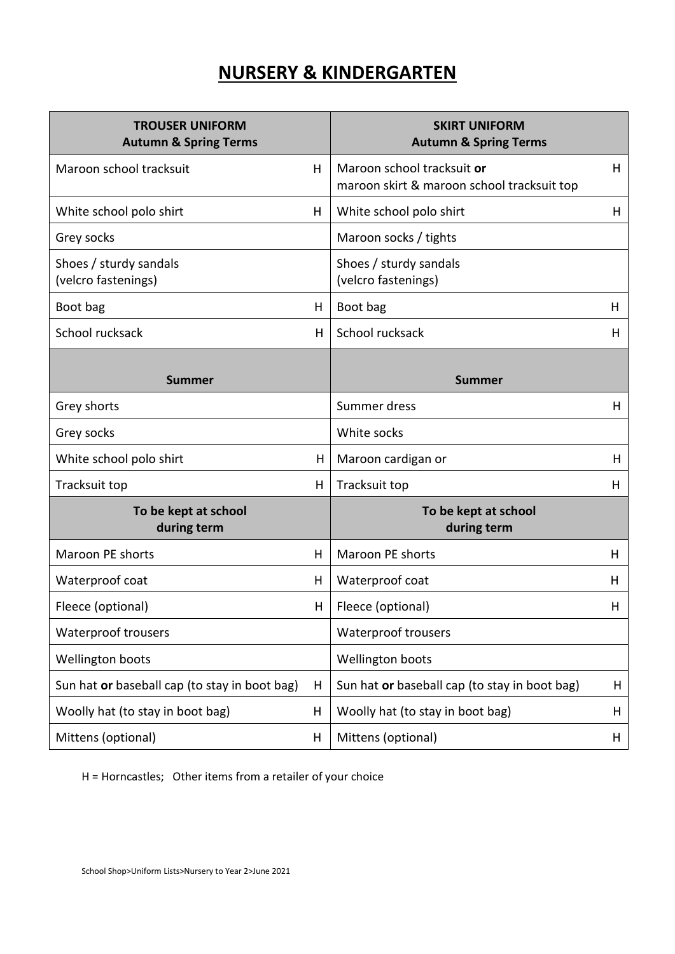## **NURSERY & KINDERGARTEN**

| <b>TROUSER UNIFORM</b><br><b>Autumn &amp; Spring Terms</b> |    | <b>SKIRT UNIFORM</b><br><b>Autumn &amp; Spring Terms</b>                 |    |
|------------------------------------------------------------|----|--------------------------------------------------------------------------|----|
| Maroon school tracksuit                                    | H  | Maroon school tracksuit or<br>maroon skirt & maroon school tracksuit top | H  |
| White school polo shirt                                    | H  | White school polo shirt                                                  | H  |
| Grey socks                                                 |    | Maroon socks / tights                                                    |    |
| Shoes / sturdy sandals<br>(velcro fastenings)              |    | Shoes / sturdy sandals<br>(velcro fastenings)                            |    |
| Boot bag                                                   | н  | Boot bag                                                                 | н  |
| School rucksack                                            | H  | School rucksack                                                          | H. |
| <b>Summer</b>                                              |    | <b>Summer</b>                                                            |    |
| Grey shorts                                                |    | Summer dress                                                             | H  |
| Grey socks                                                 |    | White socks                                                              |    |
| White school polo shirt                                    | H  | Maroon cardigan or                                                       | Н  |
| Tracksuit top                                              | H. | Tracksuit top                                                            | H  |
| To be kept at school<br>during term                        |    | To be kept at school<br>during term                                      |    |
| Maroon PE shorts                                           | н  | Maroon PE shorts                                                         | н  |
| Waterproof coat                                            | Н  | Waterproof coat                                                          | н  |
| Fleece (optional)                                          | н  | Fleece (optional)                                                        | н  |
| <b>Waterproof trousers</b>                                 |    | <b>Waterproof trousers</b>                                               |    |
| Wellington boots                                           |    | Wellington boots                                                         |    |
| Sun hat or baseball cap (to stay in boot bag)              | H  | Sun hat or baseball cap (to stay in boot bag)                            | H  |
| Woolly hat (to stay in boot bag)                           | H  | Woolly hat (to stay in boot bag)                                         | Н  |
| Mittens (optional)                                         | H  | Mittens (optional)                                                       | H  |

H = Horncastles; Other items from a retailer of your choice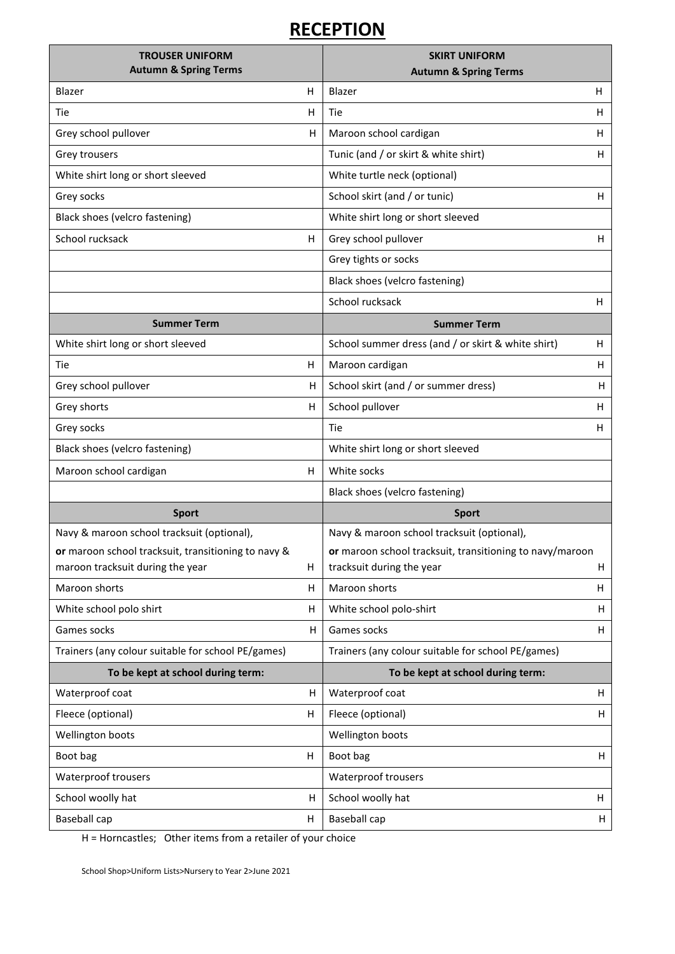## **RECEPTION**

| <b>TROUSER UNIFORM</b><br><b>Autumn &amp; Spring Terms</b>                              |   | <b>SKIRT UNIFORM</b>                                                                  |    |
|-----------------------------------------------------------------------------------------|---|---------------------------------------------------------------------------------------|----|
| Blazer                                                                                  | Η | <b>Autumn &amp; Spring Terms</b><br>Blazer                                            | Η  |
|                                                                                         |   |                                                                                       |    |
| Tie                                                                                     | н | Tie                                                                                   | н  |
| Grey school pullover                                                                    | H | Maroon school cardigan                                                                | H. |
| Grey trousers                                                                           |   | Tunic (and / or skirt & white shirt)                                                  | H  |
| White shirt long or short sleeved                                                       |   | White turtle neck (optional)                                                          |    |
| Grey socks                                                                              |   | School skirt (and / or tunic)                                                         | н  |
| Black shoes (velcro fastening)                                                          |   | White shirt long or short sleeved                                                     |    |
| School rucksack                                                                         | н | Grey school pullover                                                                  | н  |
|                                                                                         |   | Grey tights or socks                                                                  |    |
|                                                                                         |   | Black shoes (velcro fastening)                                                        |    |
|                                                                                         |   | School rucksack                                                                       | H  |
| <b>Summer Term</b>                                                                      |   | <b>Summer Term</b>                                                                    |    |
| White shirt long or short sleeved                                                       |   | School summer dress (and / or skirt & white shirt)                                    | Н  |
| Tie                                                                                     | н | Maroon cardigan                                                                       | н  |
| Grey school pullover                                                                    | H | School skirt (and / or summer dress)                                                  | н  |
| Grey shorts                                                                             | н | School pullover                                                                       | H  |
| Grey socks                                                                              |   | Tie                                                                                   | н  |
| Black shoes (velcro fastening)                                                          |   | White shirt long or short sleeved                                                     |    |
| Maroon school cardigan                                                                  | н | White socks                                                                           |    |
|                                                                                         |   | Black shoes (velcro fastening)                                                        |    |
| <b>Sport</b>                                                                            |   | <b>Sport</b>                                                                          |    |
| Navy & maroon school tracksuit (optional),                                              |   | Navy & maroon school tracksuit (optional),                                            |    |
| or maroon school tracksuit, transitioning to navy &<br>maroon tracksuit during the year | Н | or maroon school tracksuit, transitioning to navy/maroon<br>tracksuit during the year | H  |
| Maroon shorts                                                                           | н | Maroon shorts                                                                         | н  |
| White school polo shirt                                                                 | н | White school polo-shirt                                                               | н  |
| Games socks                                                                             | Η | Games socks                                                                           | н  |
| Trainers (any colour suitable for school PE/games)                                      |   | Trainers (any colour suitable for school PE/games)                                    |    |
| To be kept at school during term:                                                       |   | To be kept at school during term:                                                     |    |
| Waterproof coat                                                                         | н | Waterproof coat                                                                       | H  |
| Fleece (optional)                                                                       | н | Fleece (optional)                                                                     | H  |
| Wellington boots                                                                        |   | Wellington boots                                                                      |    |
| Boot bag                                                                                | н | Boot bag                                                                              | Н  |
| Waterproof trousers                                                                     |   | Waterproof trousers                                                                   |    |
| School woolly hat                                                                       | Н | School woolly hat                                                                     | H  |
| Baseball cap                                                                            | Η | <b>Baseball cap</b>                                                                   | Н  |

H = Horncastles; Other items from a retailer of your choice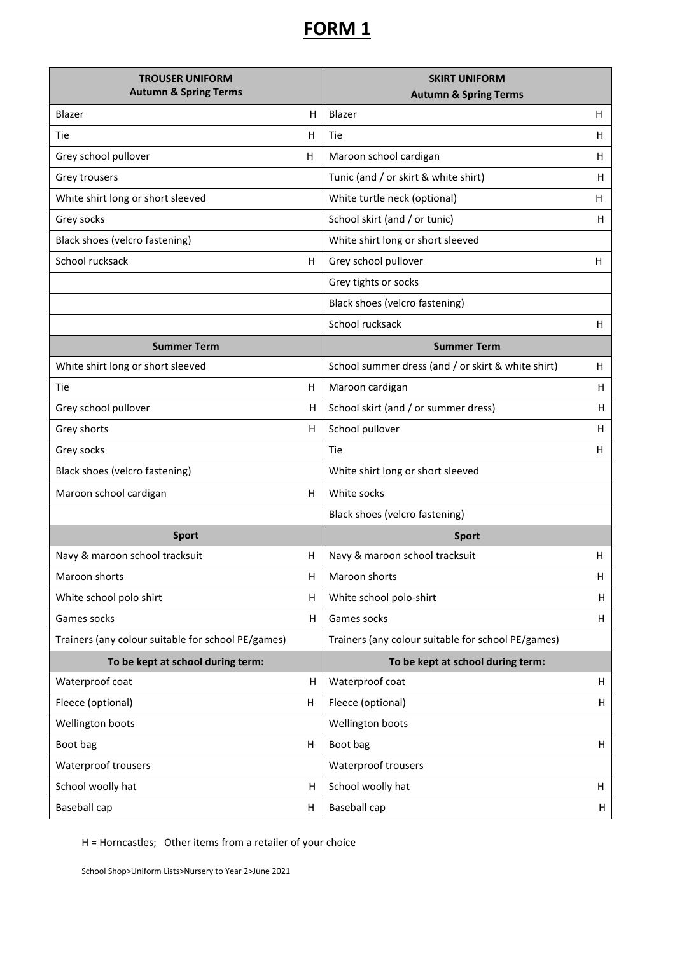## **FORM 1**

| <b>TROUSER UNIFORM</b><br><b>Autumn &amp; Spring Terms</b> |   | <b>SKIRT UNIFORM</b>                               |    |
|------------------------------------------------------------|---|----------------------------------------------------|----|
|                                                            |   | <b>Autumn &amp; Spring Terms</b>                   |    |
| Blazer                                                     | H | Blazer                                             | H  |
| Tie                                                        | H | Tie                                                | н  |
| Grey school pullover                                       | H | Maroon school cardigan                             | н  |
| Grey trousers                                              |   | Tunic (and / or skirt & white shirt)               | н  |
| White shirt long or short sleeved                          |   | White turtle neck (optional)                       | H  |
| Grey socks                                                 |   | School skirt (and / or tunic)                      | н  |
| Black shoes (velcro fastening)                             |   | White shirt long or short sleeved                  |    |
| School rucksack                                            | Н | Grey school pullover                               | н  |
|                                                            |   | Grey tights or socks                               |    |
|                                                            |   | Black shoes (velcro fastening)                     |    |
|                                                            |   | School rucksack                                    | Н  |
| <b>Summer Term</b>                                         |   | <b>Summer Term</b>                                 |    |
| White shirt long or short sleeved                          |   | School summer dress (and / or skirt & white shirt) | н  |
| Tie                                                        | H | Maroon cardigan                                    | H  |
| Grey school pullover                                       | н | School skirt (and / or summer dress)               | H  |
| Grey shorts                                                | н | School pullover                                    | H. |
| Grey socks                                                 |   | Tie                                                | н  |
| Black shoes (velcro fastening)                             |   | White shirt long or short sleeved                  |    |
| Maroon school cardigan                                     | н | White socks                                        |    |
|                                                            |   | Black shoes (velcro fastening)                     |    |
| <b>Sport</b>                                               |   | <b>Sport</b>                                       |    |
| Navy & maroon school tracksuit                             | Η | Navy & maroon school tracksuit                     | Н  |
| Maroon shorts                                              | Н | Maroon shorts                                      | Н  |
| White school polo shirt                                    | н | White school polo-shirt                            | H  |
| Games socks                                                | Н | Games socks                                        | H  |
| Trainers (any colour suitable for school PE/games)         |   | Trainers (any colour suitable for school PE/games) |    |
| To be kept at school during term:                          |   | To be kept at school during term:                  |    |
| Waterproof coat                                            | Η | Waterproof coat                                    | H  |
| Fleece (optional)                                          | H | Fleece (optional)                                  | H  |
| Wellington boots                                           |   | Wellington boots                                   |    |
| Boot bag                                                   | H | Boot bag                                           | Н  |
| Waterproof trousers                                        |   | Waterproof trousers                                |    |
| School woolly hat                                          | Н | School woolly hat                                  | H  |
| Baseball cap                                               | Η | Baseball cap                                       | H  |

H = Horncastles; Other items from a retailer of your choice

School Shop>Uniform Lists>Nursery to Year 2>June 2021